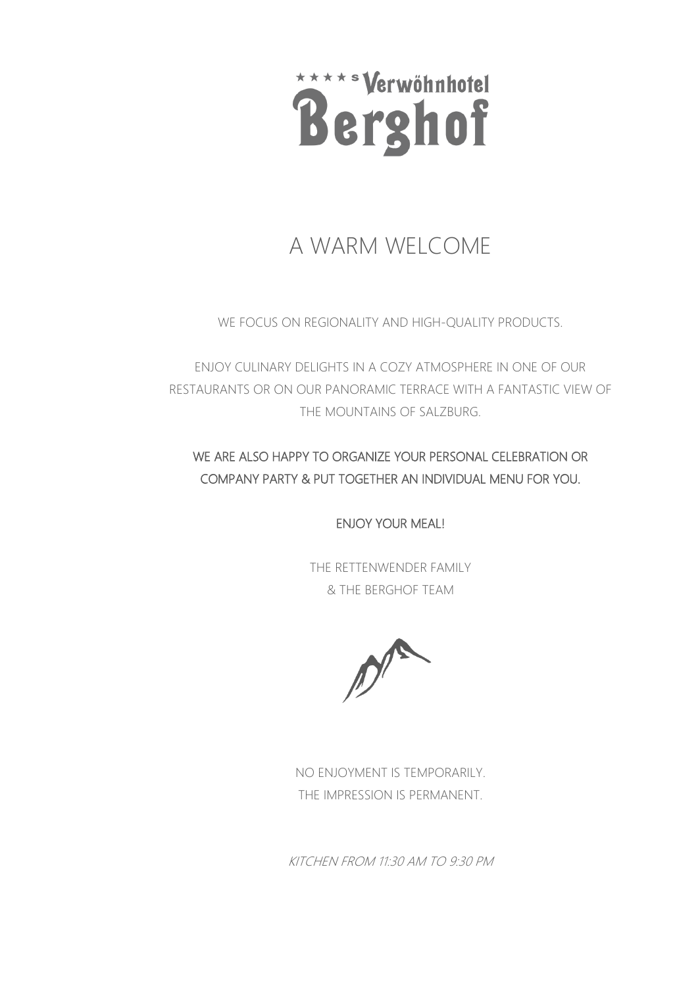

# A WARM WELCOME

WE FOCUS ON REGIONALITY AND HIGH-QUALITY PRODUCTS.

ENJOY CULINARY DELIGHTS IN A COZY ATMOSPHERE IN ONE OF OUR RESTAURANTS OR ON OUR PANORAMIC TERRACE WITH A FANTASTIC VIEW OF THE MOUNTAINS OF SALZBURG.

#### WE ARE ALSO HAPPY TO ORGANIZE YOUR PERSONAL CELEBRATION OR COMPANY PARTY & PUT TOGETHER AN INDIVIDUAL MENU FOR YOU.

ENJOY YOUR MEAL!

THE RETTENWENDER FAMILY & THE BERGHOF TEAM

NO ENJOYMENT IS TEMPORARILY. THE IMPRESSION IS PERMANENT.

KITCHEN FROM 11:30 AM TO 9:30 PM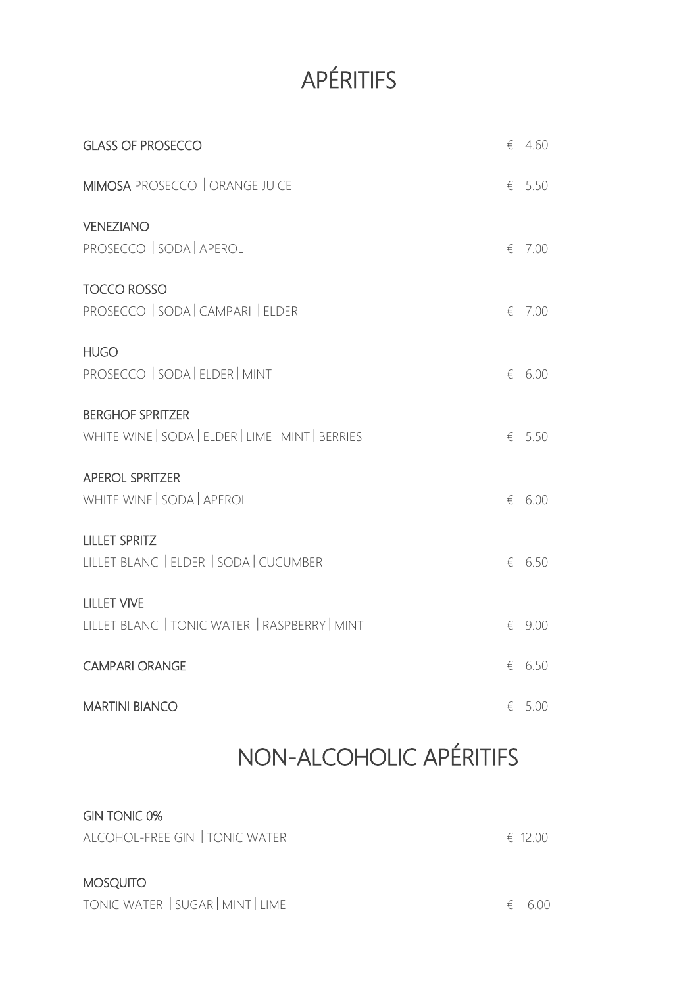# APÉRITIFS

| <b>GLASS OF PROSECCO</b>                                                     |   | $\epsilon$ 4.60 |
|------------------------------------------------------------------------------|---|-----------------|
| MIMOSA PROSECCO   ORANGE JUICE                                               |   | $\epsilon$ 5.50 |
| <b>VENEZIANO</b><br>PROSECCO   SODA   APEROL                                 | € | 7.00            |
| <b>TOCCO ROSSO</b><br>PROSECCO   SODA   CAMPARI   ELDER                      | € | 7.00            |
| <b>HUGO</b><br>PROSECCO   SODA   ELDER   MINT                                | € | 6.00            |
| <b>BERGHOF SPRITZER</b><br>WHITE WINE   SODA   ELDER   LIME   MINT   BERRIES |   | $\epsilon$ 5.50 |
| <b>APEROL SPRITZER</b><br>WHITE WINE   SODA   APEROL                         | € | 6.00            |
| <b>LILLET SPRITZ</b><br>LILLET BLANC   ELDER   SODA   CUCUMBER               | € | 6.50            |
| <b>LILLET VIVE</b><br>LILLET BLANC   TONIC WATER   RASPBERRY   MINT          | € | 9.00            |
| <b>CAMPARI ORANGE</b>                                                        | € | 6.50            |
| <b>MARTINI BIANCO</b>                                                        | € | 5.00            |
|                                                                              |   |                 |

# NON-ALCOHOLIC APÉRITIFS

#### GIN TONIC 0%

| ALCOHOL-FREE GIN   TONIC WATER | $\epsilon$ 12.00 |
|--------------------------------|------------------|
|                                |                  |
| <b>MOSQUITO</b>                |                  |

| TONIC WATER   SUGAR   MINT   LIME<br>$\epsilon$ 6.00 |
|------------------------------------------------------|
|------------------------------------------------------|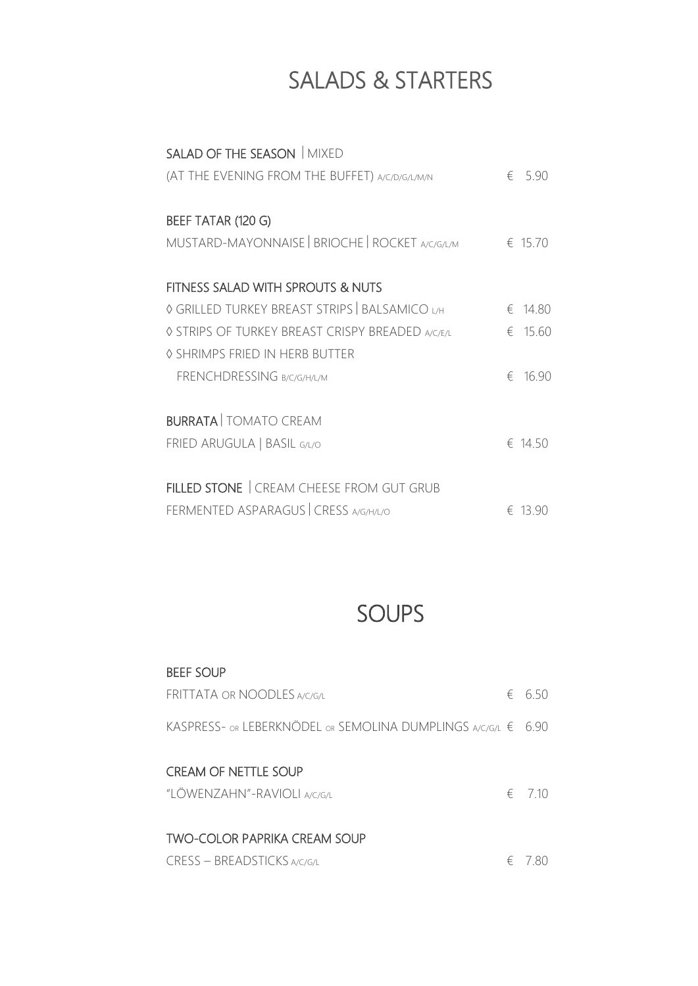## SALADS & STARTERS

| SALAD OF THE SEASON   MIXED                      |                 |
|--------------------------------------------------|-----------------|
| (AT THE EVENING FROM THE BUFFET) A/C/D/G/L/M/N   | $\epsilon$ 5.90 |
| BEEF TATAR (120 G)                               |                 |
| MUSTARD-MAYONNAISE   BRIOCHE   ROCKET A/C/G/L/M  | $\in 1570$      |
| FITNESS SALAD WITH SPROUTS & NUTS                |                 |
| © GRILLED TURKEY BREAST STRIPS   BALSAMICO L/H   | € 14.80         |
| ♦ STRIPS OF TURKEY BREAST CRISPY BREADED A/C/E/L | € 15.60         |
| ♦ SHRIMPS FRIED IN HERB BUTTER                   |                 |
| FRENCHDRESSING B/C/G/H/L/M                       | € 16.90         |
| <b>BURRATA   TOMATO CREAM</b>                    |                 |
| FRIED ARUGULA   BASIL G/L/O                      | $\in$ 14.50     |
| FILLED STONE   CREAM CHEESE FROM GUT GRUB        |                 |
| FERMENTED ASPARAGUS CRESS A/G/H/L/O              | € 13.90         |

### SOUPS

#### BEEF SOUP

| <b>FRITTATA OR NOODLES A/C/G/L</b>                                 | 6,50            |
|--------------------------------------------------------------------|-----------------|
| KASPRESS- OR LEBERKNÖDEL OR SEMOLINA DUMPLINGS A/C/G/L € 6.90      |                 |
| <b>CREAM OF NETTLE SOUP</b><br>"LÖWENZAHN"-RAVIOLI A/C/G/L         | $\epsilon$ 7.10 |
| <b>TWO-COLOR PAPRIKA CREAM SOUP</b><br>CRESS - BREADSTICKS A/C/G/L | $\epsilon$ 780  |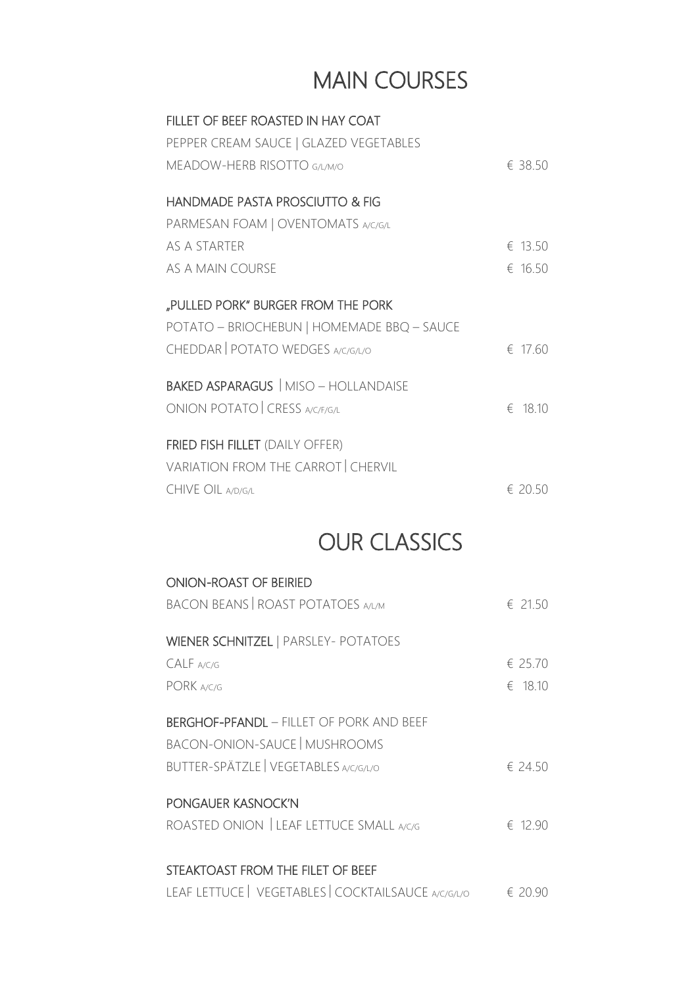# MAIN COURSES

| FILLET OF BEEF ROASTED IN HAY COAT          |             |
|---------------------------------------------|-------------|
| PEPPER CREAM SAUCE   GLAZED VEGETABLES      |             |
| MEADOW-HERB RISOTTO G/L/M/O                 | € 38.50     |
| HANDMADE PASTA PROSCIUTTO & FIG             |             |
|                                             |             |
| PARMESAN FOAM   OVENTOMATS A/C/G/L          |             |
| AS A STARTER                                | € 13.50     |
| AS A MAIN COURSE                            | € 16.50     |
|                                             |             |
| "PULLED PORK" BURGER FROM THE PORK          |             |
| POTATO - BRIOCHEBUN   HOMEMADE BBQ - SAUCE  |             |
| CHEDDAR   POTATO WEDGES A/C/G/L/O           | $f = 1760$  |
|                                             |             |
| <b>BAKED ASPARAGUS</b>   MISO - HOLLANDAISE |             |
| ONION POTATO CRESS A/C/F/G/L                | $\in$ 18.10 |
| <b>FRIED FISH FILLET (DAILY OFFER)</b>      |             |
|                                             |             |
| <b>VARIATION FROM THE CARROT CHERVIL</b>    |             |
| <b>CHIVE OIL A/D/G/L</b>                    | $f = 20.50$ |
|                                             |             |

### OUR CLASSICS

| <b>ONION-ROAST OF BEIRIED</b>                       |                  |
|-----------------------------------------------------|------------------|
| <b>BACON BEANS   ROAST POTATOES A/L/M</b>           | € 21.50          |
| <b>WIENER SCHNITZEL   PARSLEY- POTATOES</b>         |                  |
| CALF A/C/G                                          | € 25.70          |
| PORK A/C/G                                          | $\epsilon$ 18.10 |
| <b>BERGHOF-PFANDL - FILLET OF PORK AND BEEF</b>     |                  |
| <b>BACON-ONION-SAUCE MUSHROOMS</b>                  |                  |
| BUTTER-SPÄTZLE   VEGETABLES A/C/G/L/O               | € 24.50          |
| PONGAUER KASNOCK'N                                  |                  |
| ROASTED ONION LEAF LETTUCE SMALL A/C/G              | $\in$ 12.90      |
|                                                     |                  |
| STEAKTOAST FROM THE FILET OF BEEF                   |                  |
| LEAF LETTUCE   VEGETABLES   COCKTAILSAUCE A/C/G/L/O | € 20.90          |